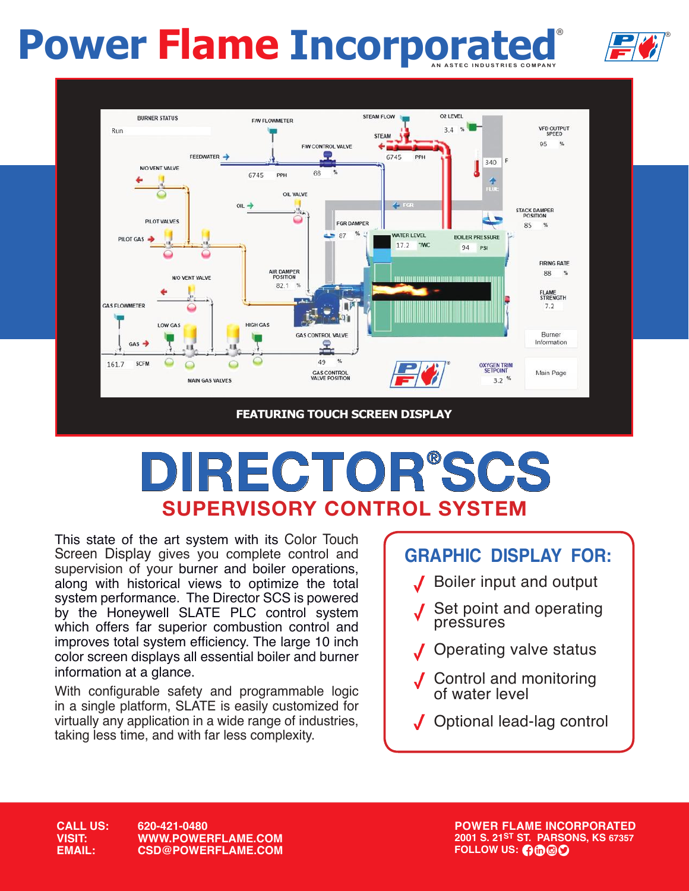# **Power Flame Incorporated**





## **DIRECTOR®SCS SUPERVISORY CONTROL SYSTEM**

This state of the art system with its Color Touch Screen Display gives you complete control and supervision of your burner and boiler operations, along with historical views to optimize the total system performance. The Director SCS is powered by the Honeywell SLATE PLC control system which offers far superior combustion control and improves total system efficiency. The large 10 inch color screen displays all essential boiler and burner information at a glance.

With configurable safety and programmable logic in a single platform, SLATE is easily customized for virtually any application in a wide range of industries, taking less time, and with far less complexity.

## **GRAPHIC DISPLAY FOR:**

- Boiler input and output
- Set point and operating pressures
- Operating valve status
- Control and monitoring of water level
- $\overline{a}$ Optional lead-lag control

**CALL US: 620-421-0480 VISIT: WWW.POWERFLAME.COM EMAIL: CSD@POWERFLAME.COM** **POWER FLAME INCORPORATED 2001 S. 21ST ST. PARSONS, KS 67357 FOLLOW US: 0000**